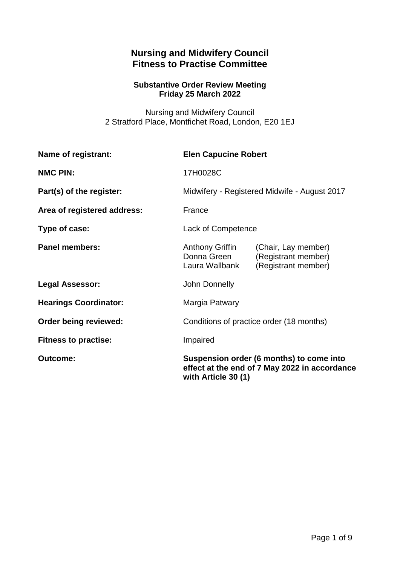# **Nursing and Midwifery Council Fitness to Practise Committee**

## **Substantive Order Review Meeting Friday 25 March 2022**

Nursing and Midwifery Council 2 Stratford Place, Montfichet Road, London, E20 1EJ

| Name of registrant:          | <b>Elen Capucine Robert</b>                                                                                      |                                                                   |
|------------------------------|------------------------------------------------------------------------------------------------------------------|-------------------------------------------------------------------|
| <b>NMC PIN:</b>              | 17H0028C                                                                                                         |                                                                   |
| Part(s) of the register:     | Midwifery - Registered Midwife - August 2017                                                                     |                                                                   |
| Area of registered address:  | France                                                                                                           |                                                                   |
| Type of case:                | Lack of Competence                                                                                               |                                                                   |
| <b>Panel members:</b>        | <b>Anthony Griffin</b><br>Donna Green<br>Laura Wallbank                                                          | (Chair, Lay member)<br>(Registrant member)<br>(Registrant member) |
| <b>Legal Assessor:</b>       | John Donnelly                                                                                                    |                                                                   |
| <b>Hearings Coordinator:</b> | Margia Patwary                                                                                                   |                                                                   |
| Order being reviewed:        | Conditions of practice order (18 months)                                                                         |                                                                   |
| <b>Fitness to practise:</b>  | Impaired                                                                                                         |                                                                   |
| <b>Outcome:</b>              | Suspension order (6 months) to come into<br>effect at the end of 7 May 2022 in accordance<br>with Article 30 (1) |                                                                   |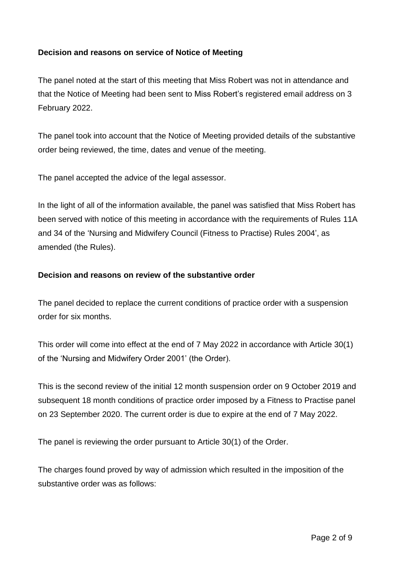## **Decision and reasons on service of Notice of Meeting**

The panel noted at the start of this meeting that Miss Robert was not in attendance and that the Notice of Meeting had been sent to Miss Robert's registered email address on 3 February 2022.

The panel took into account that the Notice of Meeting provided details of the substantive order being reviewed, the time, dates and venue of the meeting.

The panel accepted the advice of the legal assessor.

In the light of all of the information available, the panel was satisfied that Miss Robert has been served with notice of this meeting in accordance with the requirements of Rules 11A and 34 of the 'Nursing and Midwifery Council (Fitness to Practise) Rules 2004', as amended (the Rules).

#### **Decision and reasons on review of the substantive order**

The panel decided to replace the current conditions of practice order with a suspension order for six months.

This order will come into effect at the end of 7 May 2022 in accordance with Article 30(1) of the 'Nursing and Midwifery Order 2001' (the Order).

This is the second review of the initial 12 month suspension order on 9 October 2019 and subsequent 18 month conditions of practice order imposed by a Fitness to Practise panel on 23 September 2020. The current order is due to expire at the end of 7 May 2022.

The panel is reviewing the order pursuant to Article 30(1) of the Order.

The charges found proved by way of admission which resulted in the imposition of the substantive order was as follows: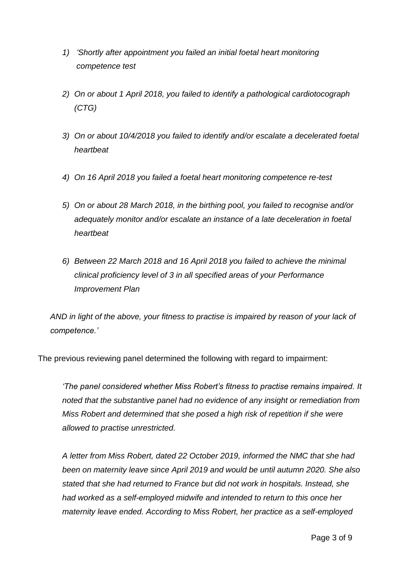- *1) 'Shortly after appointment you failed an initial foetal heart monitoring competence test*
- *2) On or about 1 April 2018, you failed to identify a pathological cardiotocograph (CTG)*
- *3) On or about 10/4/2018 you failed to identify and/or escalate a decelerated foetal heartbeat*
- *4) On 16 April 2018 you failed a foetal heart monitoring competence re-test*
- *5) On or about 28 March 2018, in the birthing pool, you failed to recognise and/or adequately monitor and/or escalate an instance of a late deceleration in foetal heartbeat*
- *6) Between 22 March 2018 and 16 April 2018 you failed to achieve the minimal clinical proficiency level of 3 in all specified areas of your Performance Improvement Plan*

*AND in light of the above, your fitness to practise is impaired by reason of your lack of competence.'* 

The previous reviewing panel determined the following with regard to impairment:

*'The panel considered whether Miss Robert's fitness to practise remains impaired. It noted that the substantive panel had no evidence of any insight or remediation from Miss Robert and determined that she posed a high risk of repetition if she were allowed to practise unrestricted.* 

*A letter from Miss Robert, dated 22 October 2019, informed the NMC that she had been on maternity leave since April 2019 and would be until autumn 2020. She also stated that she had returned to France but did not work in hospitals. Instead, she had worked as a self-employed midwife and intended to return to this once her maternity leave ended. According to Miss Robert, her practice as a self-employed*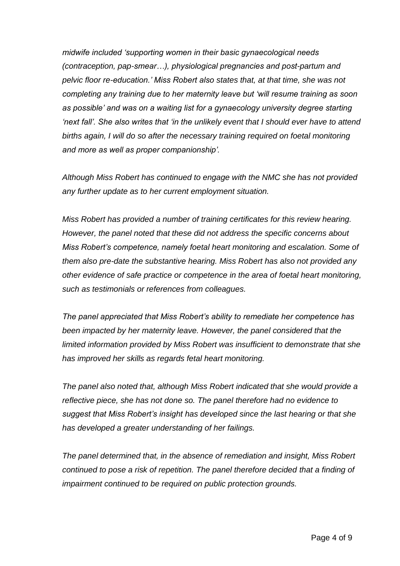*midwife included 'supporting women in their basic gynaecological needs (contraception, pap-smear…), physiological pregnancies and post-partum and pelvic floor re-education.' Miss Robert also states that, at that time, she was not completing any training due to her maternity leave but 'will resume training as soon*  as possible' and was on a waiting list for a gynaecology university degree starting *'next fall'. She also writes that 'in the unlikely event that I should ever have to attend births again, I will do so after the necessary training required on foetal monitoring and more as well as proper companionship'.* 

*Although Miss Robert has continued to engage with the NMC she has not provided any further update as to her current employment situation.* 

*Miss Robert has provided a number of training certificates for this review hearing. However, the panel noted that these did not address the specific concerns about Miss Robert's competence, namely foetal heart monitoring and escalation. Some of them also pre-date the substantive hearing. Miss Robert has also not provided any other evidence of safe practice or competence in the area of foetal heart monitoring, such as testimonials or references from colleagues.* 

*The panel appreciated that Miss Robert's ability to remediate her competence has been impacted by her maternity leave. However, the panel considered that the limited information provided by Miss Robert was insufficient to demonstrate that she has improved her skills as regards fetal heart monitoring.*

*The panel also noted that, although Miss Robert indicated that she would provide a reflective piece, she has not done so. The panel therefore had no evidence to suggest that Miss Robert's insight has developed since the last hearing or that she has developed a greater understanding of her failings.* 

*The panel determined that, in the absence of remediation and insight, Miss Robert continued to pose a risk of repetition. The panel therefore decided that a finding of impairment continued to be required on public protection grounds.*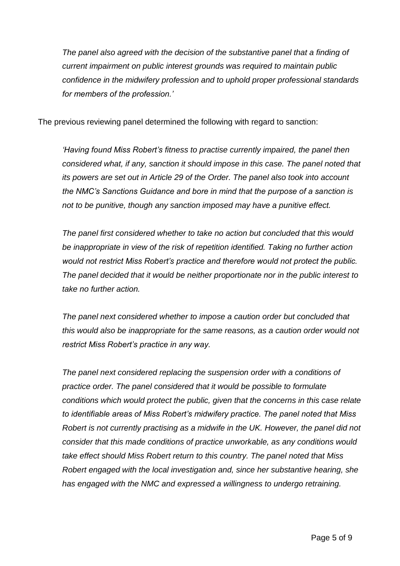*The panel also agreed with the decision of the substantive panel that a finding of current impairment on public interest grounds was required to maintain public confidence in the midwifery profession and to uphold proper professional standards for members of the profession.'*

The previous reviewing panel determined the following with regard to sanction:

*'Having found Miss Robert's fitness to practise currently impaired, the panel then considered what, if any, sanction it should impose in this case. The panel noted that its powers are set out in Article 29 of the Order. The panel also took into account the NMC's Sanctions Guidance and bore in mind that the purpose of a sanction is not to be punitive, though any sanction imposed may have a punitive effect.*

*The panel first considered whether to take no action but concluded that this would be inappropriate in view of the risk of repetition identified. Taking no further action would not restrict Miss Robert's practice and therefore would not protect the public. The panel decided that it would be neither proportionate nor in the public interest to take no further action.*

*The panel next considered whether to impose a caution order but concluded that this would also be inappropriate for the same reasons, as a caution order would not restrict Miss Robert's practice in any way.* 

*The panel next considered replacing the suspension order with a conditions of practice order. The panel considered that it would be possible to formulate conditions which would protect the public, given that the concerns in this case relate to identifiable areas of Miss Robert's midwifery practice. The panel noted that Miss Robert is not currently practising as a midwife in the UK. However, the panel did not consider that this made conditions of practice unworkable, as any conditions would take effect should Miss Robert return to this country. The panel noted that Miss Robert engaged with the local investigation and, since her substantive hearing, she has engaged with the NMC and expressed a willingness to undergo retraining.*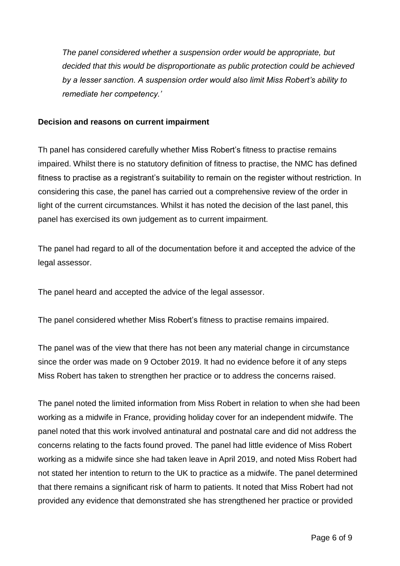*The panel considered whether a suspension order would be appropriate, but decided that this would be disproportionate as public protection could be achieved by a lesser sanction. A suspension order would also limit Miss Robert's ability to remediate her competency.'*

#### **Decision and reasons on current impairment**

Th panel has considered carefully whether Miss Robert's fitness to practise remains impaired. Whilst there is no statutory definition of fitness to practise, the NMC has defined fitness to practise as a registrant's suitability to remain on the register without restriction. In considering this case, the panel has carried out a comprehensive review of the order in light of the current circumstances. Whilst it has noted the decision of the last panel, this panel has exercised its own judgement as to current impairment.

The panel had regard to all of the documentation before it and accepted the advice of the legal assessor.

The panel heard and accepted the advice of the legal assessor.

The panel considered whether Miss Robert's fitness to practise remains impaired.

The panel was of the view that there has not been any material change in circumstance since the order was made on 9 October 2019. It had no evidence before it of any steps Miss Robert has taken to strengthen her practice or to address the concerns raised.

The panel noted the limited information from Miss Robert in relation to when she had been working as a midwife in France, providing holiday cover for an independent midwife. The panel noted that this work involved antinatural and postnatal care and did not address the concerns relating to the facts found proved. The panel had little evidence of Miss Robert working as a midwife since she had taken leave in April 2019, and noted Miss Robert had not stated her intention to return to the UK to practice as a midwife. The panel determined that there remains a significant risk of harm to patients. It noted that Miss Robert had not provided any evidence that demonstrated she has strengthened her practice or provided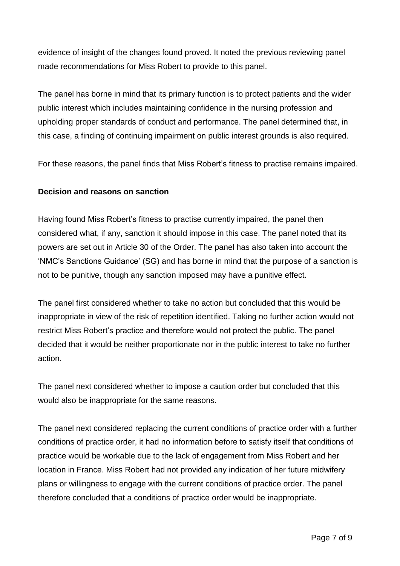evidence of insight of the changes found proved. It noted the previous reviewing panel made recommendations for Miss Robert to provide to this panel.

The panel has borne in mind that its primary function is to protect patients and the wider public interest which includes maintaining confidence in the nursing profession and upholding proper standards of conduct and performance. The panel determined that, in this case, a finding of continuing impairment on public interest grounds is also required.

For these reasons, the panel finds that Miss Robert's fitness to practise remains impaired.

### **Decision and reasons on sanction**

Having found Miss Robert's fitness to practise currently impaired, the panel then considered what, if any, sanction it should impose in this case. The panel noted that its powers are set out in Article 30 of the Order. The panel has also taken into account the 'NMC's Sanctions Guidance' (SG) and has borne in mind that the purpose of a sanction is not to be punitive, though any sanction imposed may have a punitive effect.

The panel first considered whether to take no action but concluded that this would be inappropriate in view of the risk of repetition identified. Taking no further action would not restrict Miss Robert's practice and therefore would not protect the public. The panel decided that it would be neither proportionate nor in the public interest to take no further action.

The panel next considered whether to impose a caution order but concluded that this would also be inappropriate for the same reasons.

The panel next considered replacing the current conditions of practice order with a further conditions of practice order, it had no information before to satisfy itself that conditions of practice would be workable due to the lack of engagement from Miss Robert and her location in France. Miss Robert had not provided any indication of her future midwifery plans or willingness to engage with the current conditions of practice order. The panel therefore concluded that a conditions of practice order would be inappropriate.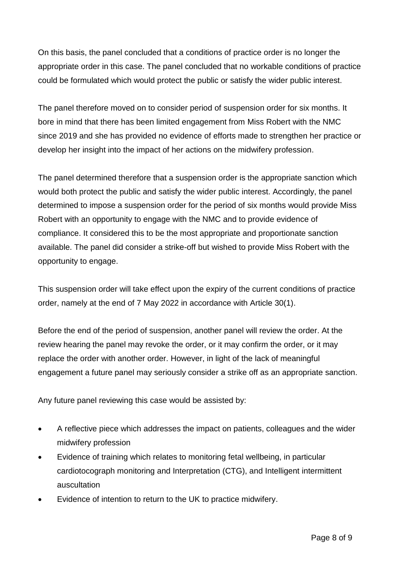On this basis, the panel concluded that a conditions of practice order is no longer the appropriate order in this case. The panel concluded that no workable conditions of practice could be formulated which would protect the public or satisfy the wider public interest.

The panel therefore moved on to consider period of suspension order for six months. It bore in mind that there has been limited engagement from Miss Robert with the NMC since 2019 and she has provided no evidence of efforts made to strengthen her practice or develop her insight into the impact of her actions on the midwifery profession.

The panel determined therefore that a suspension order is the appropriate sanction which would both protect the public and satisfy the wider public interest. Accordingly, the panel determined to impose a suspension order for the period of six months would provide Miss Robert with an opportunity to engage with the NMC and to provide evidence of compliance. It considered this to be the most appropriate and proportionate sanction available. The panel did consider a strike-off but wished to provide Miss Robert with the opportunity to engage.

This suspension order will take effect upon the expiry of the current conditions of practice order, namely at the end of 7 May 2022 in accordance with Article 30(1).

Before the end of the period of suspension, another panel will review the order. At the review hearing the panel may revoke the order, or it may confirm the order, or it may replace the order with another order. However, in light of the lack of meaningful engagement a future panel may seriously consider a strike off as an appropriate sanction.

Any future panel reviewing this case would be assisted by:

- A reflective piece which addresses the impact on patients, colleagues and the wider midwifery profession
- Evidence of training which relates to monitoring fetal wellbeing, in particular cardiotocograph monitoring and Interpretation (CTG), and Intelligent intermittent auscultation
- Evidence of intention to return to the UK to practice midwifery.